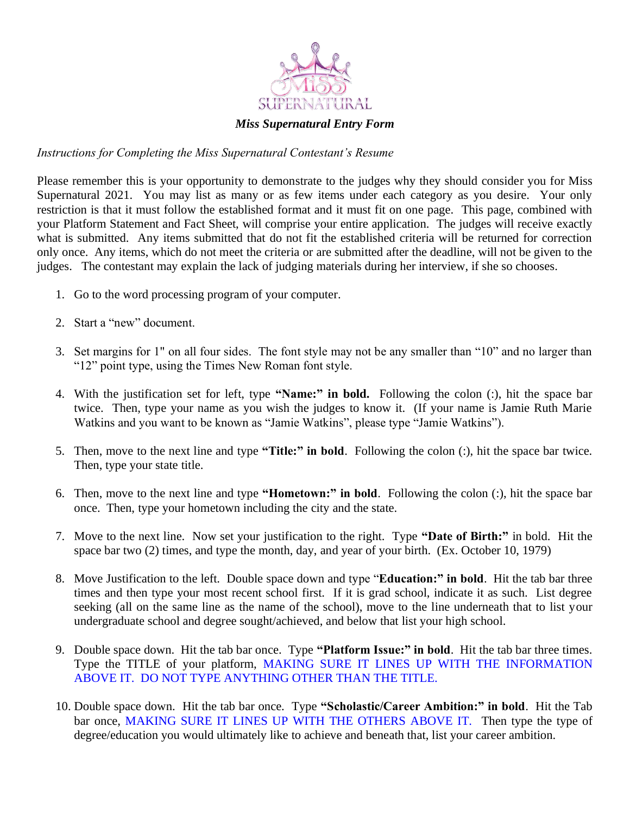

#### *Miss Supernatural Entry Form*

#### *Instructions for Completing the Miss Supernatural Contestant's Resume*

Please remember this is your opportunity to demonstrate to the judges why they should consider you for Miss Supernatural 2021. You may list as many or as few items under each category as you desire. Your only restriction is that it must follow the established format and it must fit on one page. This page, combined with your Platform Statement and Fact Sheet, will comprise your entire application. The judges will receive exactly what is submitted. Any items submitted that do not fit the established criteria will be returned for correction only once. Any items, which do not meet the criteria or are submitted after the deadline, will not be given to the judges. The contestant may explain the lack of judging materials during her interview, if she so chooses.

- 1. Go to the word processing program of your computer.
- 2. Start a "new" document.
- 3. Set margins for 1" on all four sides. The font style may not be any smaller than "10" and no larger than "12" point type, using the Times New Roman font style.
- 4. With the justification set for left, type **"Name:" in bold.** Following the colon (:), hit the space bar twice. Then, type your name as you wish the judges to know it. (If your name is Jamie Ruth Marie Watkins and you want to be known as "Jamie Watkins", please type "Jamie Watkins").
- 5. Then, move to the next line and type **"Title:" in bold**. Following the colon (:), hit the space bar twice. Then, type your state title.
- 6. Then, move to the next line and type **"Hometown:" in bold**. Following the colon (:), hit the space bar once. Then, type your hometown including the city and the state.
- 7. Move to the next line. Now set your justification to the right. Type **"Date of Birth:"** in bold. Hit the space bar two (2) times, and type the month, day, and year of your birth. (Ex. October 10, 1979)
- 8. Move Justification to the left. Double space down and type "**Education:" in bold**. Hit the tab bar three times and then type your most recent school first. If it is grad school, indicate it as such. List degree seeking (all on the same line as the name of the school), move to the line underneath that to list your undergraduate school and degree sought/achieved, and below that list your high school.
- 9. Double space down. Hit the tab bar once. Type **"Platform Issue:" in bold**. Hit the tab bar three times. Type the TITLE of your platform, MAKING SURE IT LINES UP WITH THE INFORMATION ABOVE IT. DO NOT TYPE ANYTHING OTHER THAN THE TITLE.
- 10. Double space down. Hit the tab bar once. Type **"Scholastic/Career Ambition:" in bold**. Hit the Tab bar once, MAKING SURE IT LINES UP WITH THE OTHERS ABOVE IT. Then type the type of degree/education you would ultimately like to achieve and beneath that, list your career ambition.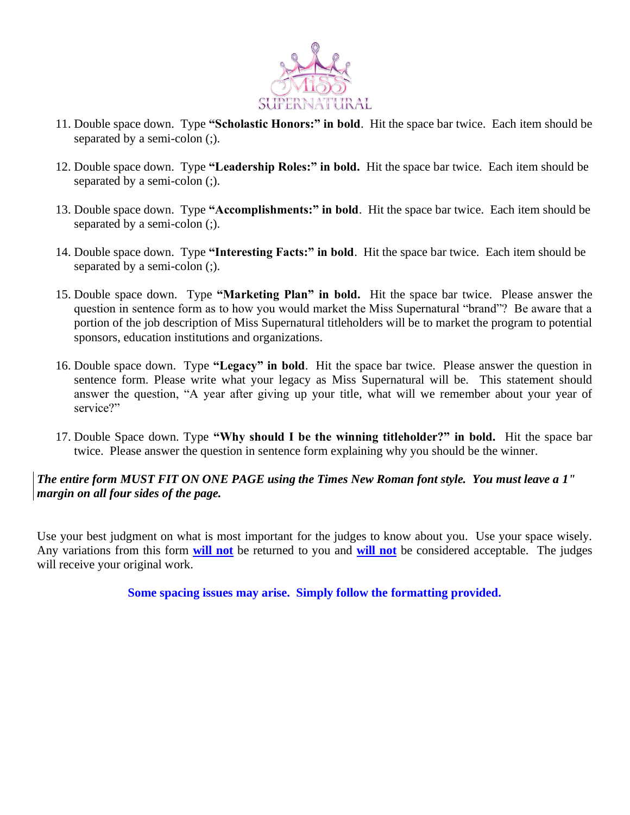

- 11. Double space down. Type **"Scholastic Honors:" in bold**. Hit the space bar twice. Each item should be separated by a semi-colon (;).
- 12. Double space down. Type **"Leadership Roles:" in bold.** Hit the space bar twice. Each item should be separated by a semi-colon (;).
- 13. Double space down. Type **"Accomplishments:" in bold**. Hit the space bar twice. Each item should be separated by a semi-colon (;).
- 14. Double space down. Type **"Interesting Facts:" in bold**. Hit the space bar twice. Each item should be separated by a semi-colon (;).
- 15. Double space down. Type **"Marketing Plan" in bold.** Hit the space bar twice. Please answer the question in sentence form as to how you would market the Miss Supernatural "brand"? Be aware that a portion of the job description of Miss Supernatural titleholders will be to market the program to potential sponsors, education institutions and organizations.
- 16. Double space down. Type **"Legacy" in bold**. Hit the space bar twice. Please answer the question in sentence form. Please write what your legacy as Miss Supernatural will be. This statement should answer the question, "A year after giving up your title, what will we remember about your year of service?"
- 17. Double Space down. Type **"Why should I be the winning titleholder?" in bold.** Hit the space bar twice. Please answer the question in sentence form explaining why you should be the winner.

## *The entire form MUST FIT ON ONE PAGE using the Times New Roman font style. You must leave a 1" margin on all four sides of the page.*

Use your best judgment on what is most important for the judges to know about you. Use your space wisely. Any variations from this form **will not** be returned to you and **will not** be considered acceptable. The judges will receive your original work.

**Some spacing issues may arise. Simply follow the formatting provided.**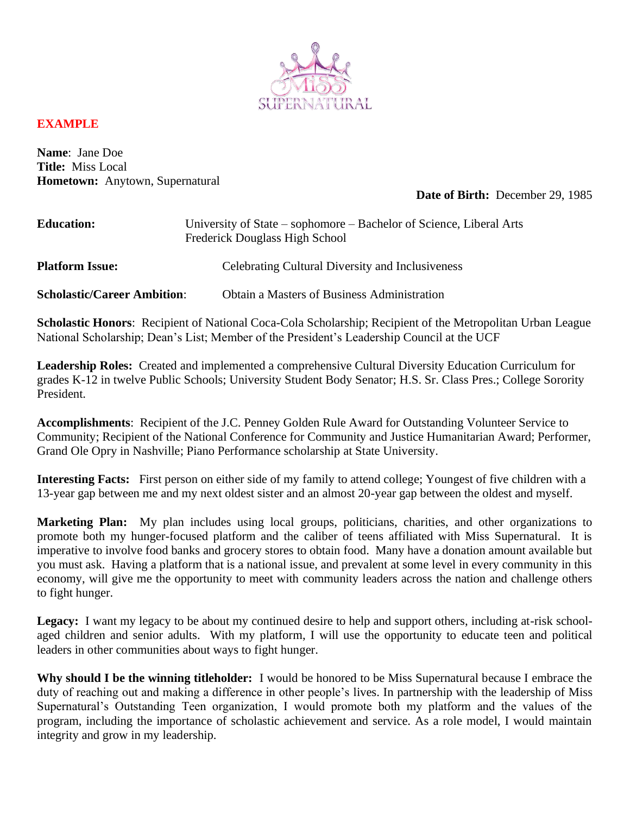

### **EXAMPLE**

**Name**: Jane Doe **Title:** Miss Local **Hometown:** Anytown, Supernatural

#### **Date of Birth:** December 29, 1985

| <b>Education:</b>                  | University of State – sophomore – Bachelor of Science, Liberal Arts<br>Frederick Douglass High School |
|------------------------------------|-------------------------------------------------------------------------------------------------------|
| <b>Platform Issue:</b>             | <b>Celebrating Cultural Diversity and Inclusiveness</b>                                               |
| <b>Scholastic/Career Ambition:</b> | <b>Obtain a Masters of Business Administration</b>                                                    |

**Scholastic Honors**: Recipient of National Coca-Cola Scholarship; Recipient of the Metropolitan Urban League National Scholarship; Dean's List; Member of the President's Leadership Council at the UCF

**Leadership Roles:** Created and implemented a comprehensive Cultural Diversity Education Curriculum for grades K-12 in twelve Public Schools; University Student Body Senator; H.S. Sr. Class Pres.; College Sorority President.

**Accomplishments**: Recipient of the J.C. Penney Golden Rule Award for Outstanding Volunteer Service to Community; Recipient of the National Conference for Community and Justice Humanitarian Award; Performer, Grand Ole Opry in Nashville; Piano Performance scholarship at State University.

**Interesting Facts:** First person on either side of my family to attend college; Youngest of five children with a 13-year gap between me and my next oldest sister and an almost 20-year gap between the oldest and myself.

**Marketing Plan:** My plan includes using local groups, politicians, charities, and other organizations to promote both my hunger-focused platform and the caliber of teens affiliated with Miss Supernatural. It is imperative to involve food banks and grocery stores to obtain food. Many have a donation amount available but you must ask. Having a platform that is a national issue, and prevalent at some level in every community in this economy, will give me the opportunity to meet with community leaders across the nation and challenge others to fight hunger.

Legacy: I want my legacy to be about my continued desire to help and support others, including at-risk schoolaged children and senior adults. With my platform, I will use the opportunity to educate teen and political leaders in other communities about ways to fight hunger.

**Why should I be the winning titleholder:** I would be honored to be Miss Supernatural because I embrace the duty of reaching out and making a difference in other people's lives. In partnership with the leadership of Miss Supernatural's Outstanding Teen organization, I would promote both my platform and the values of the program, including the importance of scholastic achievement and service. As a role model, I would maintain integrity and grow in my leadership.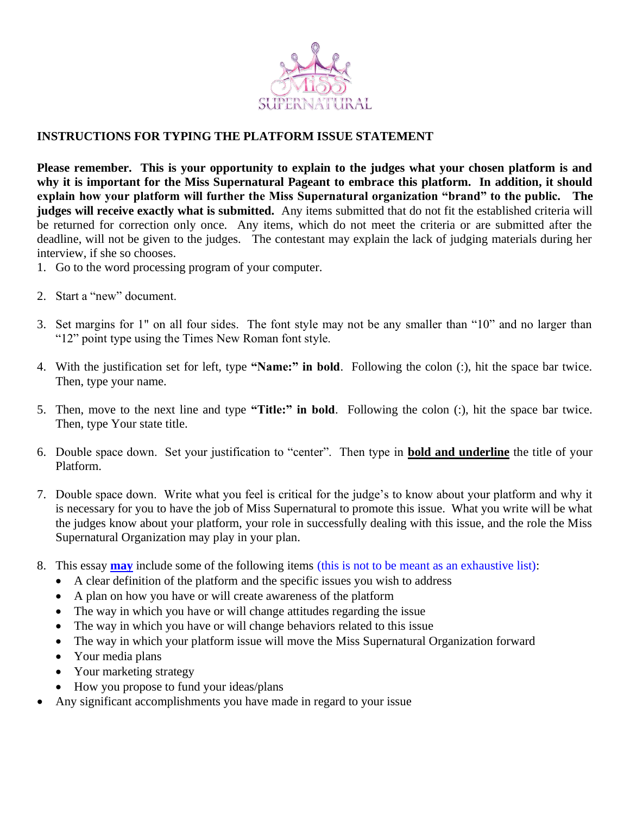

## **INSTRUCTIONS FOR TYPING THE PLATFORM ISSUE STATEMENT**

**Please remember. This is your opportunity to explain to the judges what your chosen platform is and why it is important for the Miss Supernatural Pageant to embrace this platform. In addition, it should explain how your platform will further the Miss Supernatural organization "brand" to the public. The judges will receive exactly what is submitted.** Any items submitted that do not fit the established criteria will be returned for correction only once. Any items, which do not meet the criteria or are submitted after the deadline, will not be given to the judges. The contestant may explain the lack of judging materials during her interview, if she so chooses.

- 1. Go to the word processing program of your computer.
- 2. Start a "new" document.
- 3. Set margins for 1" on all four sides. The font style may not be any smaller than "10" and no larger than "12" point type using the Times New Roman font style.
- 4. With the justification set for left, type **"Name:" in bold**. Following the colon (:), hit the space bar twice. Then, type your name.
- 5. Then, move to the next line and type **"Title:" in bold**. Following the colon (:), hit the space bar twice. Then, type Your state title.
- 6. Double space down. Set your justification to "center". Then type in **bold and underline** the title of your Platform.
- 7. Double space down. Write what you feel is critical for the judge's to know about your platform and why it is necessary for you to have the job of Miss Supernatural to promote this issue. What you write will be what the judges know about your platform, your role in successfully dealing with this issue, and the role the Miss Supernatural Organization may play in your plan.
- 8. This essay **may** include some of the following items (this is not to be meant as an exhaustive list):
	- A clear definition of the platform and the specific issues you wish to address
	- A plan on how you have or will create awareness of the platform
	- The way in which you have or will change attitudes regarding the issue
	- The way in which you have or will change behaviors related to this issue
	- The way in which your platform issue will move the Miss Supernatural Organization forward
	- Your media plans
	- Your marketing strategy
	- How you propose to fund your ideas/plans
- Any significant accomplishments you have made in regard to your issue